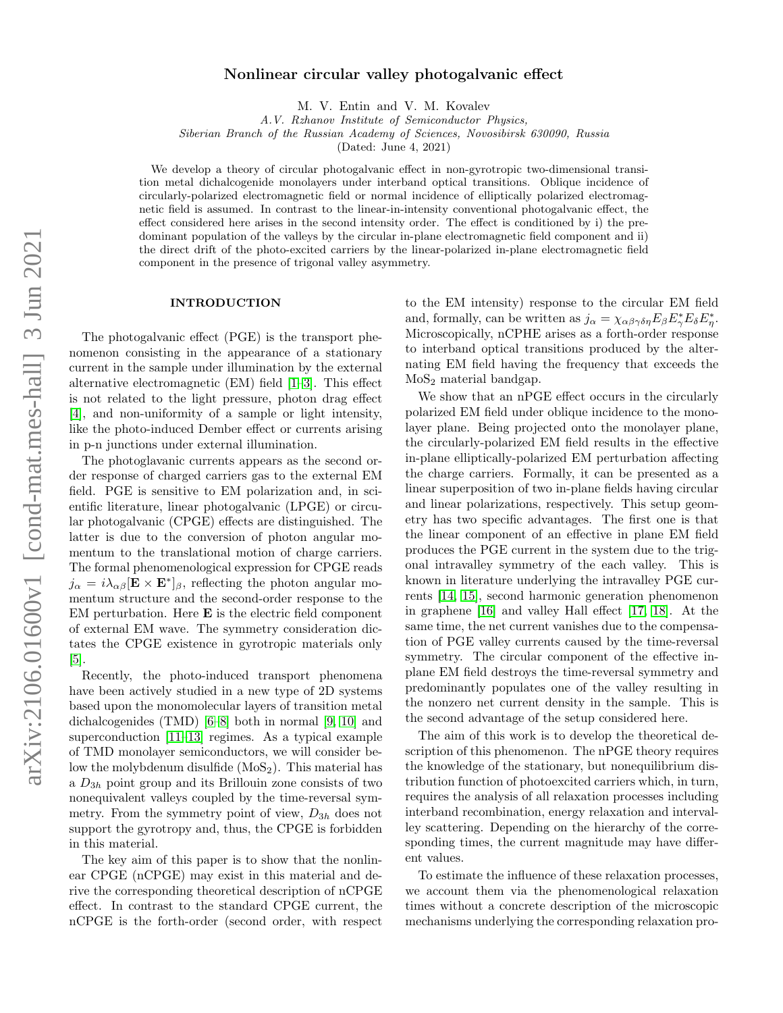# Nonlinear circular valley photogalvanic effect

M. V. Entin and V. M. Kovalev

A.V. Rzhanov Institute of Semiconductor Physics,

Siberian Branch of the Russian Academy of Sciences, Novosibirsk 630090, Russia

(Dated: June 4, 2021)

We develop a theory of circular photogalvanic effect in non-gyrotropic two-dimensional transition metal dichalcogenide monolayers under interband optical transitions. Oblique incidence of circularly-polarized electromagnetic field or normal incidence of elliptically polarized electromagnetic field is assumed. In contrast to the linear-in-intensity conventional photogalvanic effect, the effect considered here arises in the second intensity order. The effect is conditioned by i) the predominant population of the valleys by the circular in-plane electromagnetic field component and ii) the direct drift of the photo-excited carriers by the linear-polarized in-plane electromagnetic field component in the presence of trigonal valley asymmetry.

### INTRODUCTION

The photogalvanic effect (PGE) is the transport phenomenon consisting in the appearance of a stationary current in the sample under illumination by the external alternative electromagnetic (EM) field [\[1–](#page-5-0)[3\]](#page-5-1). This effect is not related to the light pressure, photon drag effect [\[4\]](#page-5-2), and non-uniformity of a sample or light intensity, like the photo-induced Dember effect or currents arising in p-n junctions under external illumination.

The photoglavanic currents appears as the second order response of charged carriers gas to the external EM field. PGE is sensitive to EM polarization and, in scientific literature, linear photogalvanic (LPGE) or circular photogalvanic (CPGE) effects are distinguished. The latter is due to the conversion of photon angular momentum to the translational motion of charge carriers. The formal phenomenological expression for CPGE reads  $j_{\alpha} = i\lambda_{\alpha\beta} [\mathbf{E} \times \mathbf{E}^*]_{\beta}$ , reflecting the photon angular momentum structure and the second-order response to the  $EM$  perturbation. Here  $E$  is the electric field component of external EM wave. The symmetry consideration dictates the CPGE existence in gyrotropic materials only [\[5\]](#page-6-0).

Recently, the photo-induced transport phenomena have been actively studied in a new type of 2D systems based upon the monomolecular layers of transition metal dichalcogenides (TMD) [\[6](#page-6-1)[–8\]](#page-6-2) both in normal [\[9,](#page-6-3) [10\]](#page-6-4) and superconduction [\[11–](#page-6-5)[13\]](#page-6-6) regimes. As a typical example of TMD monolayer semiconductors, we will consider below the molybdenum disulfide  $(MoS<sub>2</sub>)$ . This material has a  $D_{3h}$  point group and its Brillouin zone consists of two nonequivalent valleys coupled by the time-reversal symmetry. From the symmetry point of view,  $D_{3h}$  does not support the gyrotropy and, thus, the CPGE is forbidden in this material.

The key aim of this paper is to show that the nonlinear CPGE (nCPGE) may exist in this material and derive the corresponding theoretical description of nCPGE effect. In contrast to the standard CPGE current, the nCPGE is the forth-order (second order, with respect

to the EM intensity) response to the circular EM field and, formally, can be written as  $j_{\alpha} = \chi_{\alpha\beta\gamma\delta\eta} E_{\beta} E_{\gamma}^* E_{\delta} E_{\eta}^*$ . Microscopically, nCPHE arises as a forth-order response to interband optical transitions produced by the alternating EM field having the frequency that exceeds the MoS<sup>2</sup> material bandgap.

We show that an nPGE effect occurs in the circularly polarized EM field under oblique incidence to the monolayer plane. Being projected onto the monolayer plane, the circularly-polarized EM field results in the effective in-plane elliptically-polarized EM perturbation affecting the charge carriers. Formally, it can be presented as a linear superposition of two in-plane fields having circular and linear polarizations, respectively. This setup geometry has two specific advantages. The first one is that the linear component of an effective in plane EM field produces the PGE current in the system due to the trigonal intravalley symmetry of the each valley. This is known in literature underlying the intravalley PGE currents [\[14,](#page-6-7) [15\]](#page-6-8), second harmonic generation phenomenon in graphene [\[16\]](#page-6-9) and valley Hall effect [\[17,](#page-6-10) [18\]](#page-6-11). At the same time, the net current vanishes due to the compensation of PGE valley currents caused by the time-reversal symmetry. The circular component of the effective inplane EM field destroys the time-reversal symmetry and predominantly populates one of the valley resulting in the nonzero net current density in the sample. This is the second advantage of the setup considered here.

The aim of this work is to develop the theoretical description of this phenomenon. The nPGE theory requires the knowledge of the stationary, but nonequilibrium distribution function of photoexcited carriers which, in turn, requires the analysis of all relaxation processes including interband recombination, energy relaxation and intervalley scattering. Depending on the hierarchy of the corresponding times, the current magnitude may have different values.

To estimate the influence of these relaxation processes, we account them via the phenomenological relaxation times without a concrete description of the microscopic mechanisms underlying the corresponding relaxation pro-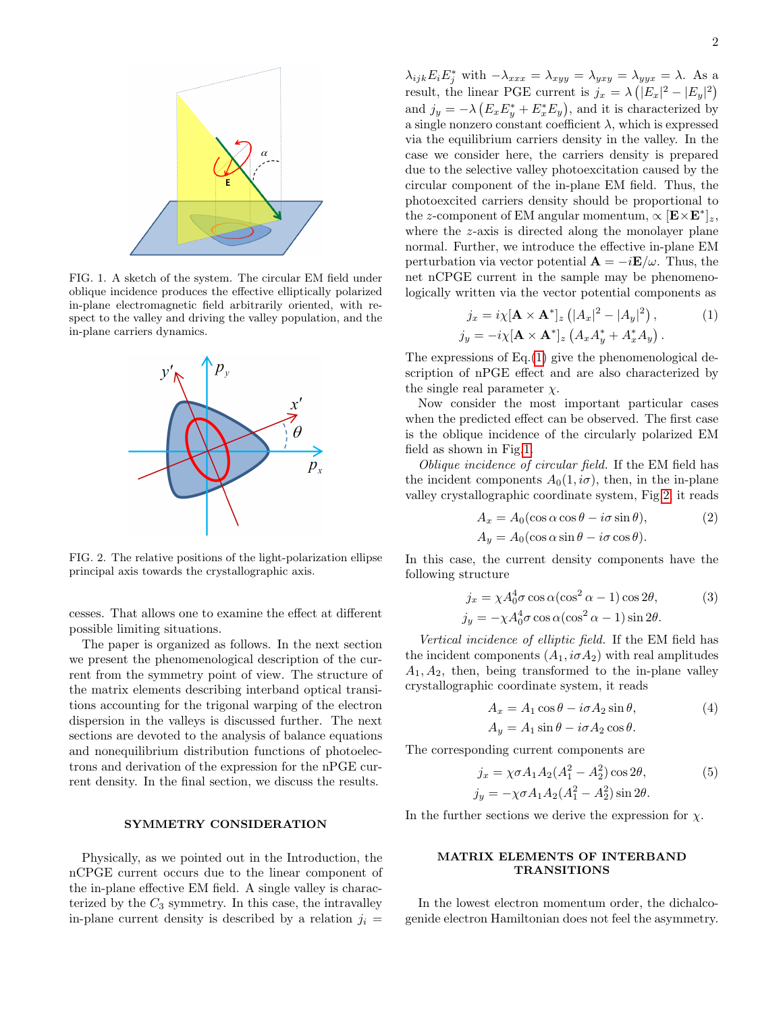

<span id="page-1-1"></span>FIG. 1. A sketch of the system. The circular EM field under oblique incidence produces the effective elliptically polarized in-plane electromagnetic field arbitrarily oriented, with respect to the valley and driving the valley population, and the in-plane carriers dynamics.



<span id="page-1-2"></span>FIG. 2. The relative positions of the light-polarization ellipse principal axis towards the crystallographic axis.

cesses. That allows one to examine the effect at different possible limiting situations.

The paper is organized as follows. In the next section we present the phenomenological description of the current from the symmetry point of view. The structure of the matrix elements describing interband optical transitions accounting for the trigonal warping of the electron dispersion in the valleys is discussed further. The next sections are devoted to the analysis of balance equations and nonequilibrium distribution functions of photoelectrons and derivation of the expression for the nPGE current density. In the final section, we discuss the results.

# SYMMETRY CONSIDERATION

Physically, as we pointed out in the Introduction, the nCPGE current occurs due to the linear component of the in-plane effective EM field. A single valley is characterized by the  $C_3$  symmetry. In this case, the intravalley in-plane current density is described by a relation  $j_i =$ 

 $\lambda_{ijk} E_i E_j^*$  with  $-\lambda_{xxx} = \lambda_{xyy} = \lambda_{yxy} = \lambda_{yyx} = \lambda$ . As a result, the linear PGE current is  $j_x = \lambda (|E_x|^2 - |E_y|^2)$ and  $j_y = -\lambda \left( E_x E_y^* + E_x^* E_y \right)$ , and it is characterized by a single nonzero constant coefficient  $\lambda$ , which is expressed via the equilibrium carriers density in the valley. In the case we consider here, the carriers density is prepared due to the selective valley photoexcitation caused by the circular component of the in-plane EM field. Thus, the photoexcited carriers density should be proportional to the z-component of EM angular momentum,  $\propto [\mathbf{E} \times \mathbf{E}^*]_z$ , where the z-axis is directed along the monolayer plane normal. Further, we introduce the effective in-plane EM perturbation via vector potential  $\mathbf{A} = -i\mathbf{E}/\omega$ . Thus, the net nCPGE current in the sample may be phenomenologically written via the vector potential components as

<span id="page-1-0"></span>
$$
j_x = i\chi[\mathbf{A} \times \mathbf{A}^*]_z \left( |A_x|^2 - |A_y|^2 \right),
$$
  
\n
$$
j_y = -i\chi[\mathbf{A} \times \mathbf{A}^*]_z \left( A_x A_y^* + A_x^* A_y \right).
$$
\n(1)

The expressions of Eq.[\(1\)](#page-1-0) give the phenomenological description of nPGE effect and are also characterized by the single real parameter  $\chi$ .

Now consider the most important particular cases when the predicted effect can be observed. The first case is the oblique incidence of the circularly polarized EM field as shown in Fig[.1.](#page-1-1)

Oblique incidence of circular field. If the EM field has the incident components  $A_0(1, i\sigma)$ , then, in the in-plane valley crystallographic coordinate system, Fig[.2,](#page-1-2) it reads

<span id="page-1-3"></span>
$$
A_x = A_0(\cos \alpha \cos \theta - i\sigma \sin \theta),
$$
  
\n
$$
A_y = A_0(\cos \alpha \sin \theta - i\sigma \cos \theta).
$$
\n(2)

In this case, the current density components have the following structure

$$
j_x = \chi A_0^4 \sigma \cos \alpha (\cos^2 \alpha - 1) \cos 2\theta,
$$
  
\n
$$
j_y = -\chi A_0^4 \sigma \cos \alpha (\cos^2 \alpha - 1) \sin 2\theta.
$$
 (3)

Vertical incidence of elliptic field. If the EM field has the incident components  $(A_1, i\sigma A_2)$  with real amplitudes  $A_1, A_2$ , then, being transformed to the in-plane valley crystallographic coordinate system, it reads

<span id="page-1-4"></span>
$$
A_x = A_1 \cos \theta - i\sigma A_2 \sin \theta,
$$
  
\n
$$
A_y = A_1 \sin \theta - i\sigma A_2 \cos \theta.
$$
\n(4)

The corresponding current components are

$$
j_x = \chi \sigma A_1 A_2 (A_1^2 - A_2^2) \cos 2\theta,
$$
  
\n
$$
j_y = -\chi \sigma A_1 A_2 (A_1^2 - A_2^2) \sin 2\theta.
$$
\n(5)

In the further sections we derive the expression for  $\chi$ .

### MATRIX ELEMENTS OF INTERBAND TRANSITIONS

In the lowest electron momentum order, the dichalcogenide electron Hamiltonian does not feel the asymmetry.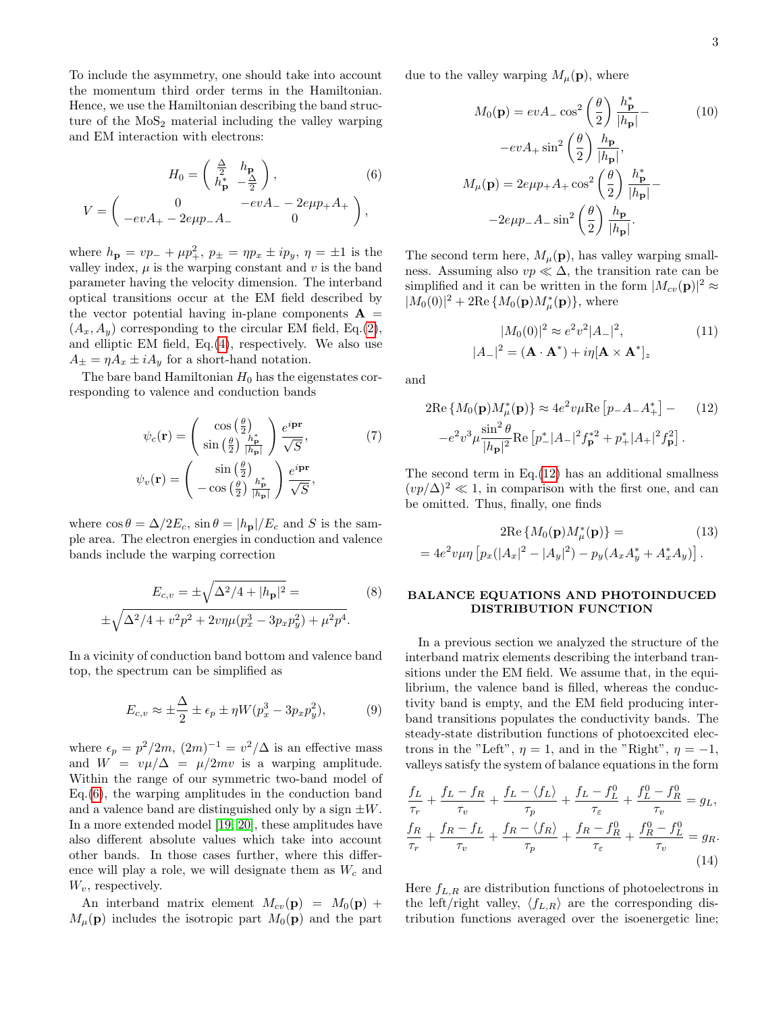To include the asymmetry, one should take into account the momentum third order terms in the Hamiltonian. Hence, we use the Hamiltonian describing the band structure of the  $MoS<sub>2</sub>$  material including the valley warping and EM interaction with electrons:

$$
H_0 = \begin{pmatrix} \frac{\Delta}{2} & h_{\mathbf{p}} \\ h_{\mathbf{p}}^* & -\frac{\Delta}{2} \end{pmatrix},
$$
(6)  

$$
V = \begin{pmatrix} 0 & -evA_{-} - 2e\mu p_{+}A_{+} \\ -evA_{+} - 2e\mu p_{-}A_{-} & 0 \end{pmatrix},
$$

where  $h_{\mathbf{p}} = vp_{-} + \mu p_{+}^{2}$ ,  $p_{\pm} = \eta p_{x} \pm ip_{y}$ ,  $\eta = \pm 1$  is the valley index,  $\mu$  is the warping constant and  $v$  is the band parameter having the velocity dimension. The interband optical transitions occur at the EM field described by the vector potential having in-plane components  $A =$  $(A_x, A_y)$  corresponding to the circular EM field, Eq.[\(2\)](#page-1-3), and elliptic EM field, Eq.[\(4\)](#page-1-4), respectively. We also use  $A_{\pm} = \eta A_x \pm i A_y$  for a short-hand notation.

The bare band Hamiltonian  $H_0$  has the eigenstates corresponding to valence and conduction bands

$$
\psi_c(\mathbf{r}) = \begin{pmatrix} \cos\left(\frac{\theta}{2}\right) & e^{i\mathbf{p}\mathbf{r}} \\ \sin\left(\frac{\theta}{2}\right) \frac{h_{\mathbf{p}}^*}{|h_{\mathbf{p}}|} \end{pmatrix} \frac{e^{i\mathbf{p}\mathbf{r}}}{\sqrt{S}}, \tag{7}
$$

$$
\psi_v(\mathbf{r}) = \begin{pmatrix} \sin\left(\frac{\theta}{2}\right) & e^{i\mathbf{p}\mathbf{r}} \\ -\cos\left(\frac{\theta}{2}\right) \frac{h_{\mathbf{p}}^*}{|h_{\mathbf{p}}|} \end{pmatrix} \frac{e^{i\mathbf{p}\mathbf{r}}}{\sqrt{S}},
$$

where  $\cos \theta = \Delta/2E_c$ ,  $\sin \theta = |h_{\mathbf{p}}|/E_c$  and S is the sample area. The electron energies in conduction and valence bands include the warping correction

$$
E_{c,v} = \pm \sqrt{\Delta^2/4 + |h_{\mathbf{p}}|^2} =
$$
\n
$$
\pm \sqrt{\Delta^2/4 + v^2 p^2 + 2v \eta \mu (p_x^3 - 3p_x p_y^2) + \mu^2 p^4}.
$$
\n(8)

In a vicinity of conduction band bottom and valence band top, the spectrum can be simplified as

$$
E_{c,v} \approx \pm \frac{\Delta}{2} \pm \epsilon_p \pm \eta W (p_x^3 - 3p_x p_y^2), \tag{9}
$$

where  $\epsilon_p = p^2/2m$ ,  $(2m)^{-1} = v^2/\Delta$  is an effective mass and  $W = v\mu/\Delta = \mu/2mv$  is a warping amplitude. Within the range of our symmetric two-band model of Eq.[\(6\)](#page-2-0), the warping amplitudes in the conduction band and a valence band are distinguished only by a sign  $\pm W$ . In a more extended model [\[19,](#page-6-12) [20\]](#page-6-13), these amplitudes have also different absolute values which take into account other bands. In those cases further, where this difference will play a role, we will designate them as  $W_c$  and  $W_v$ , respectively.

An interband matrix element  $M_{cv}(\mathbf{p}) = M_0(\mathbf{p}) +$  $M_{\mu}(\mathbf{p})$  includes the isotropic part  $M_0(\mathbf{p})$  and the part <span id="page-2-0"></span>due to the valley warping  $M_{\mu}(\mathbf{p})$ , where

$$
M_0(\mathbf{p}) = evA_{-} \cos^2\left(\frac{\theta}{2}\right) \frac{h_{\mathbf{p}}^*}{|h_{\mathbf{p}}|} -
$$
  
\n
$$
-evA_{+} \sin^2\left(\frac{\theta}{2}\right) \frac{h_{\mathbf{p}}}{|h_{\mathbf{p}}|},
$$
  
\n
$$
M_{\mu}(\mathbf{p}) = 2e\mu p_{+}A_{+} \cos^2\left(\frac{\theta}{2}\right) \frac{h_{\mathbf{p}}^*}{|h_{\mathbf{p}}|} -
$$
  
\n
$$
-2e\mu p_{-}A_{-} \sin^2\left(\frac{\theta}{2}\right) \frac{h_{\mathbf{p}}}{|h_{\mathbf{p}}|}.
$$
 (10)

The second term here,  $M_{\mu}(\mathbf{p})$ , has valley warping smallness. Assuming also  $vp \ll \Delta$ , the transition rate can be simplified and it can be written in the form  $|M_{cv}(\mathbf{p})|^2 \approx$  $|M_0(0)|^2 + 2\text{Re}\{M_0(\mathbf{p})M_\mu^*(\mathbf{p})\},\$  where

<span id="page-2-1"></span>
$$
|M_0(0)|^2 \approx e^2 v^2 |A_-|^2,
$$
  
\n
$$
|A_-|^2 = (\mathbf{A} \cdot \mathbf{A}^*) + i\eta [\mathbf{A} \times \mathbf{A}^*]_z
$$
\n(11)

and

$$
2\text{Re}\left\{M_0(\mathbf{p})M^*_{\mu}(\mathbf{p})\right\} \approx 4e^2v\mu\text{Re}\left[p_-A_-A^*_{+}\right] - (12)
$$

$$
-e^2v^3\mu\frac{\sin^2\theta}{|h_{\mathbf{p}}|^2}\text{Re}\left[p^*_-|A_-|^2f_{\mathbf{p}}^{*2} + p^*_{+}|A_+|^2f_{\mathbf{p}}^2\right].
$$

The second term in  $Eq.(12)$  $Eq.(12)$  has an additional smallness  $(vp/\Delta)^2 \ll 1$ , in comparison with the first one, and can be omitted. Thus, finally, one finds

<span id="page-2-4"></span>
$$
2\text{Re}\left\{M_0(\mathbf{p})M_{\mu}^*(\mathbf{p})\right\} =
$$
\n
$$
= 4e^2v\mu\eta\left[p_x(|A_x|^2 - |A_y|^2) - p_y(A_xA_y^* + A_x^*A_y)\right].
$$
\n(13)

# BALANCE EQUATIONS AND PHOTOINDUCED DISTRIBUTION FUNCTION

<span id="page-2-3"></span>In a previous section we analyzed the structure of the interband matrix elements describing the interband transitions under the EM field. We assume that, in the equilibrium, the valence band is filled, whereas the conductivity band is empty, and the EM field producing interband transitions populates the conductivity bands. The steady-state distribution functions of photoexcited electrons in the "Left",  $\eta = 1$ , and in the "Right",  $\eta = -1$ , valleys satisfy the system of balance equations in the form

$$
\frac{f_L}{\tau_r} + \frac{f_L - f_R}{\tau_v} + \frac{f_L - \langle f_L \rangle}{\tau_p} + \frac{f_L - f_L^0}{\tau_\varepsilon} + \frac{f_L^0 - f_R^0}{\tau_v} = g_L,
$$
\n
$$
\frac{f_R}{\tau_r} + \frac{f_R - f_L}{\tau_v} + \frac{f_R - \langle f_R \rangle}{\tau_p} + \frac{f_R - f_R^0}{\tau_\varepsilon} + \frac{f_R^0 - f_L^0}{\tau_v} = g_R.
$$
\n(14)

<span id="page-2-2"></span>Here  $f_{L,R}$  are distribution functions of photoelectrons in the left/right valley,  $\langle f_{L,R} \rangle$  are the corresponding distribution functions averaged over the isoenergetic line;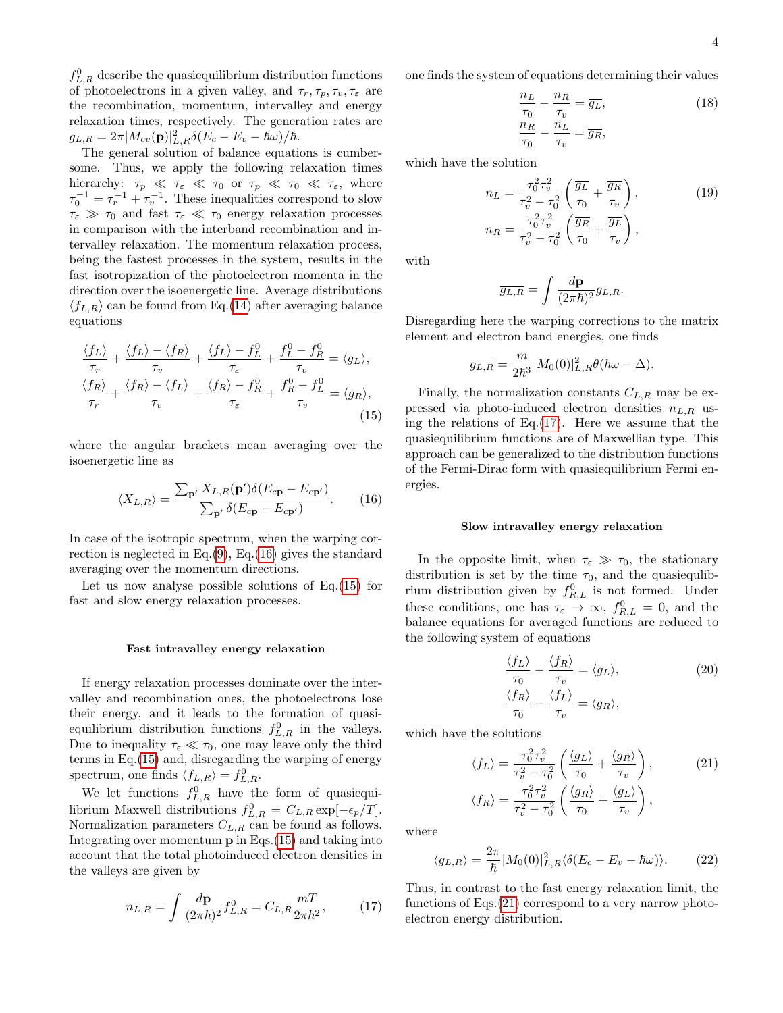$f_{L,R}^0$  describe the quasiequilibrium distribution functions of photoelectrons in a given valley, and  $\tau_r, \tau_p, \tau_v, \tau_\varepsilon$  are the recombination, momentum, intervalley and energy relaxation times, respectively. The generation rates are  $g_{L,R}=2\pi|M_{cv}(\mathbf{p})|_{L,R}^2\delta(E_c-E_v-\hbar\omega)/\hbar.$ 

The general solution of balance equations is cumbersome. Thus, we apply the following relaxation times hierarchy:  $\tau_p \ll \tau_{\varepsilon} \ll \tau_0$  or  $\tau_p \ll \tau_0 \ll \tau_{\varepsilon}$ , where  $\tau_0^{-1} = \tau_r^{-1} + \tau_v^{-1}$ . These inequalities correspond to slow  $\tau_{\varepsilon} \gg \tau_0$  and fast  $\tau_{\varepsilon} \ll \tau_0$  energy relaxation processes in comparison with the interband recombination and intervalley relaxation. The momentum relaxation process, being the fastest processes in the system, results in the fast isotropization of the photoelectron momenta in the direction over the isoenergetic line. Average distributions  $\langle f_{L,R} \rangle$  can be found from Eq.[\(14\)](#page-2-2) after averaging balance equations

$$
\frac{\langle f_L \rangle}{\tau_r} + \frac{\langle f_L \rangle - \langle f_R \rangle}{\tau_v} + \frac{\langle f_L \rangle - f_L^0}{\tau_{\varepsilon}} + \frac{f_L^0 - f_R^0}{\tau_v} = \langle g_L \rangle,
$$
  

$$
\frac{\langle f_R \rangle}{\tau_r} + \frac{\langle f_R \rangle - \langle f_L \rangle}{\tau_v} + \frac{\langle f_R \rangle - f_R^0}{\tau_{\varepsilon}} + \frac{f_R^0 - f_L^0}{\tau_v} = \langle g_R \rangle,
$$
(15)

where the angular brackets mean averaging over the isoenergetic line as

$$
\langle X_{L,R} \rangle = \frac{\sum_{\mathbf{p'}} X_{L,R}(\mathbf{p'}) \delta(E_{c\mathbf{p}} - E_{c\mathbf{p'}})}{\sum_{\mathbf{p'}} \delta(E_{c\mathbf{p}} - E_{c\mathbf{p'}})}.
$$
 (16)

In case of the isotropic spectrum, when the warping correction is neglected in Eq. $(9)$ , Eq. $(16)$  gives the standard averaging over the momentum directions.

Let us now analyse possible solutions of Eq.[\(15\)](#page-3-1) for fast and slow energy relaxation processes.

### Fast intravalley energy relaxation

If energy relaxation processes dominate over the intervalley and recombination ones, the photoelectrons lose their energy, and it leads to the formation of quasiequilibrium distribution functions  $f_{L,R}^0$  in the valleys. Due to inequality  $\tau_{\varepsilon} \ll \tau_0$ , one may leave only the third terms in Eq.[\(15\)](#page-3-1) and, disregarding the warping of energy spectrum, one finds  $\langle f_{L,R} \rangle = f_{L,R}^0$ .

We let functions  $f_{L,R}^0$  have the form of quasiequilibrium Maxwell distributions  $f_{L,R}^0 = C_{L,R} \exp[-\epsilon_p/T]$ . Normalization parameters  $C_{L,R}$  can be found as follows. Integrating over momentum  $\bf{p}$  in Eqs. [\(15\)](#page-3-1) and taking into account that the total photoinduced electron densities in the valleys are given by

$$
n_{L,R} = \int \frac{d\mathbf{p}}{(2\pi\hbar)^2} f_{L,R}^0 = C_{L,R} \frac{m}{2\pi\hbar^2},\tag{17}
$$

one finds the system of equations determining their values

$$
\frac{n_L}{\tau_0} - \frac{n_R}{\tau_v} = \overline{g_L},
$$
  
\n
$$
\frac{n_R}{\tau_0} - \frac{n_L}{\tau_v} = \overline{g_R},
$$
\n(18)

which have the solution

$$
n_L = \frac{\tau_0^2 \tau_v^2}{\tau_v^2 - \tau_0^2} \left( \frac{\overline{g_L}}{\tau_0} + \frac{\overline{g_R}}{\tau_v} \right),
$$
  
\n
$$
n_R = \frac{\tau_0^2 \tau_v^2}{\tau_v^2 - \tau_0^2} \left( \frac{\overline{g_R}}{\tau_0} + \frac{\overline{g_L}}{\tau_v} \right),
$$
\n(19)

with

$$
\overline{g_{L,R}} = \int \frac{d\mathbf{p}}{(2\pi\hbar)^2} g_{L,R}.
$$

Disregarding here the warping corrections to the matrix element and electron band energies, one finds

$$
\overline{g_{L,R}} = \frac{m}{2\hbar^3} |M_0(0)|_{L,R}^2 \theta(\hbar\omega - \Delta).
$$

<span id="page-3-1"></span>Finally, the normalization constants  $C_{L,R}$  may be expressed via photo-induced electron densities  $n_{L,R}$  using the relations of Eq. $(17)$ . Here we assume that the quasiequilibrium functions are of Maxwellian type. This approach can be generalized to the distribution functions of the Fermi-Dirac form with quasiequilibrium Fermi energies.

#### Slow intravalley energy relaxation

<span id="page-3-0"></span>In the opposite limit, when  $\tau_{\varepsilon} \gg \tau_0$ , the stationary distribution is set by the time  $\tau_0$ , and the quasiequlibrium distribution given by  $f_{R,L}^0$  is not formed. Under these conditions, one has  $\tau_{\varepsilon} \to \infty$ ,  $f_{R,L}^0 = 0$ , and the balance equations for averaged functions are reduced to the following system of equations

<span id="page-3-3"></span>
$$
\frac{\langle f_L \rangle}{\tau_0} - \frac{\langle f_R \rangle}{\tau_v} = \langle g_L \rangle,
$$
\n
$$
\frac{\langle f_R \rangle}{\tau_0} - \frac{\langle f_L \rangle}{\tau_v} = \langle g_R \rangle,
$$
\n(20)

which have the solutions

$$
\langle f_L \rangle = \frac{\tau_0^2 \tau_v^2}{\tau_v^2 - \tau_0^2} \left( \frac{\langle g_L \rangle}{\tau_0} + \frac{\langle g_R \rangle}{\tau_v} \right), \qquad (21)
$$

$$
\langle f_R \rangle = \frac{\tau_0^2 \tau_v^2}{\tau_v^2 - \tau_0^2} \left( \frac{\langle g_R \rangle}{\tau_0} + \frac{\langle g_L \rangle}{\tau_v} \right),
$$

where

$$
\langle g_{L,R} \rangle = \frac{2\pi}{\hbar} |M_0(0)|_{L,R}^2 \langle \delta(E_c - E_v - \hbar \omega) \rangle.
$$
 (22)

<span id="page-3-2"></span>Thus, in contrast to the fast energy relaxation limit, the functions of Eqs.[\(21\)](#page-3-3) correspond to a very narrow photoelectron energy distribution.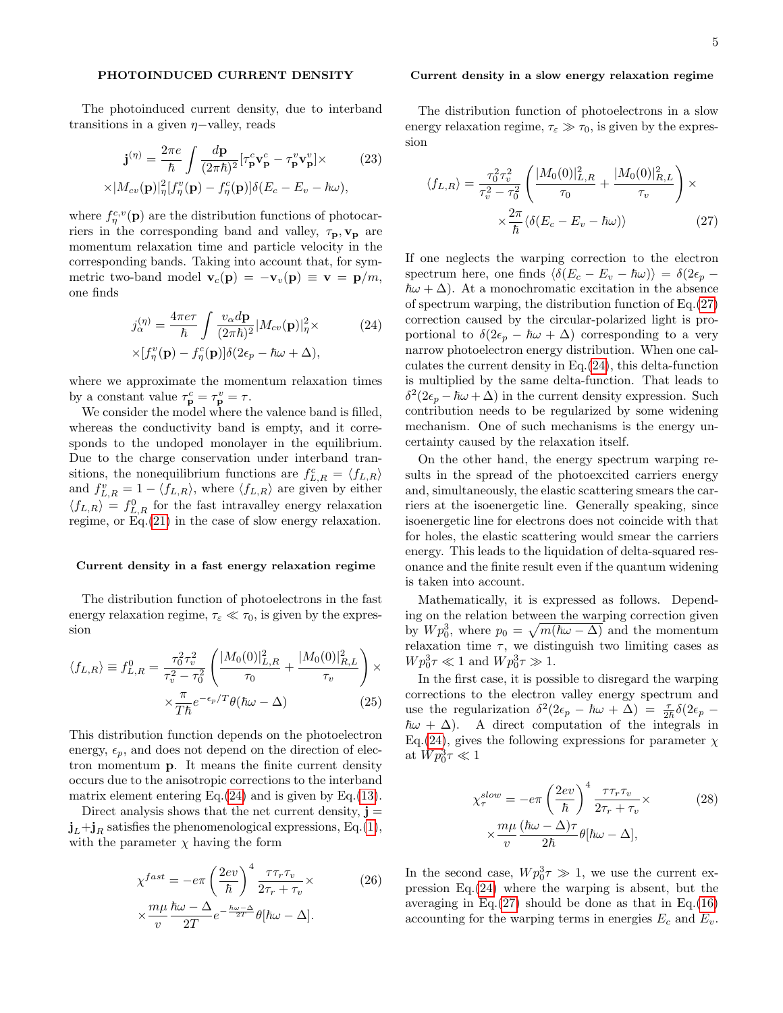## PHOTOINDUCED CURRENT DENSITY

The photoinduced current density, due to interband transitions in a given  $η$ -valley, reads

$$
\mathbf{j}^{(\eta)} = \frac{2\pi e}{\hbar} \int \frac{d\mathbf{p}}{(2\pi\hbar)^2} [\tau_{\mathbf{p}}^c \mathbf{v}_{\mathbf{p}}^c - \tau_{\mathbf{p}}^v \mathbf{v}_{\mathbf{p}}^v] \times
$$
  
 
$$
\times |M_{cv}(\mathbf{p})|^2_{\eta} [f_{\eta}^v(\mathbf{p}) - f_{\eta}^c(\mathbf{p})] \delta(E_c - E_v - \hbar \omega),
$$
 (23)

where  $f_{\eta}^{c,v}(\mathbf{p})$  are the distribution functions of photocarriers in the corresponding band and valley,  $\tau_{\mathbf{p}}, \mathbf{v}_{\mathbf{p}}$  are momentum relaxation time and particle velocity in the corresponding bands. Taking into account that, for symmetric two-band model  $\mathbf{v}_c(\mathbf{p}) = -\mathbf{v}_v(\mathbf{p}) \equiv \mathbf{v} = \mathbf{p}/m$ , one finds

$$
j_{\alpha}^{(\eta)} = \frac{4\pi e\tau}{\hbar} \int \frac{v_{\alpha}d\mathbf{p}}{(2\pi\hbar)^2} |M_{cv}(\mathbf{p})|^2_{\eta} \times
$$
  
 
$$
\times [f_{\eta}^v(\mathbf{p}) - f_{\eta}^c(\mathbf{p})] \delta(2\epsilon_p - \hbar\omega + \Delta),
$$
 (24)

where we approximate the momentum relaxation times by a constant value  $\tau_{\mathbf{p}}^c = \tau_{\mathbf{p}}^v = \tau$ .

We consider the model where the valence band is filled, whereas the conductivity band is empty, and it corresponds to the undoped monolayer in the equilibrium. Due to the charge conservation under interband transitions, the nonequilibrium functions are  $f_{L,R}^c = \langle f_{L,R} \rangle$ and  $f_{L,R}^v = 1 - \langle f_{L,R} \rangle$ , where  $\langle f_{L,R} \rangle$  are given by either  $\langle f_{L,R} \rangle = f_{L,R}^0$  for the fast intravalley energy relaxation regime, or Eq.[\(21\)](#page-3-3) in the case of slow energy relaxation.

#### Current density in a fast energy relaxation regime

The distribution function of photoelectrons in the fast energy relaxation regime,  $\tau_{\varepsilon} \ll \tau_0$ , is given by the expression

$$
\langle f_{L,R} \rangle \equiv f_{L,R}^0 = \frac{\tau_0^2 \tau_v^2}{\tau_v^2 - \tau_0^2} \left( \frac{|M_0(0)|_{L,R}^2}{\tau_0} + \frac{|M_0(0)|_{R,L}^2}{\tau_v} \right) \times \frac{\pi}{T\hbar} e^{-\epsilon_p/T} \theta(\hbar\omega - \Delta)
$$
(25)

This distribution function depends on the photoelectron energy,  $\epsilon_p$ , and does not depend on the direction of electron momentum p. It means the finite current density occurs due to the anisotropic corrections to the interband matrix element entering Eq. $(24)$  and is given by Eq. $(13)$ .

Direct analysis shows that the net current density,  $\mathbf{j} =$  $\mathbf{j}_L+\mathbf{j}_R$  satisfies the phenomenological expressions, Eq.[\(1\)](#page-1-0), with the parameter  $\chi$  having the form

$$
\chi^{fast} = -e\pi \left(\frac{2ev}{\hbar}\right)^4 \frac{\tau \tau_r \tau_v}{2\tau_r + \tau_v} \times \qquad (26)
$$

$$
\times \frac{m\mu}{v} \frac{\hbar \omega - \Delta}{2T} e^{-\frac{\hbar \omega - \Delta}{2T}} \theta[\hbar \omega - \Delta].
$$

#### Current density in a slow energy relaxation regime

The distribution function of photoelectrons in a slow energy relaxation regime,  $\tau_{\varepsilon} \gg \tau_0$ , is given by the expression

<span id="page-4-1"></span>
$$
\langle f_{L,R} \rangle = \frac{\tau_0^2 \tau_v^2}{\tau_v^2 - \tau_0^2} \left( \frac{|M_0(0)|_{L,R}^2}{\tau_0} + \frac{|M_0(0)|_{R,L}^2}{\tau_v} \right) \times \frac{2\pi}{\hbar} \langle \delta(E_c - E_v - \hbar \omega) \rangle \tag{27}
$$

<span id="page-4-0"></span>If one neglects the warping correction to the electron spectrum here, one finds  $\langle \delta(E_c - E_v - \hbar \omega) \rangle = \delta(2\epsilon_p - \epsilon)$  $\hbar\omega + \Delta$ ). At a monochromatic excitation in the absence of spectrum warping, the distribution function of Eq.[\(27\)](#page-4-1) correction caused by the circular-polarized light is proportional to  $\delta(2\epsilon_p - \hbar\omega + \Delta)$  corresponding to a very narrow photoelectron energy distribution. When one calculates the current density in Eq.[\(24\)](#page-4-0), this delta-function is multiplied by the same delta-function. That leads to  $\delta^2(2\epsilon_p - \hbar\omega + \Delta)$  in the current density expression. Such contribution needs to be regularized by some widening mechanism. One of such mechanisms is the energy uncertainty caused by the relaxation itself.

On the other hand, the energy spectrum warping results in the spread of the photoexcited carriers energy and, simultaneously, the elastic scattering smears the carriers at the isoenergetic line. Generally speaking, since isoenergetic line for electrons does not coincide with that for holes, the elastic scattering would smear the carriers energy. This leads to the liquidation of delta-squared resonance and the finite result even if the quantum widening is taken into account.

Mathematically, it is expressed as follows. Depending on the relation between the warping correction given by  $W p_0^3$ , where  $p_0 = \sqrt{m(\hbar \omega - \Delta)}$  and the momentum relaxation time  $\tau$ , we distinguish two limiting cases as  $W p_0^3 \tau \ll 1$  and  $W p_0^3 \tau \gg 1$ .

In the first case, it is possible to disregard the warping corrections to the electron valley energy spectrum and use the regularization  $\delta^2(2\epsilon_p - \hbar\omega + \Delta) = \frac{\tau}{2\hbar}\delta(2\epsilon_p \hbar\omega + \Delta$ ). A direct computation of the integrals in Eq.[\(24\)](#page-4-0), gives the following expressions for parameter  $\chi$ at  $Wp_0^3 \tau \ll 1$ 

<span id="page-4-3"></span>
$$
\chi_{\tau}^{slow} = -e\pi \left(\frac{2ev}{\hbar}\right)^{4} \frac{\tau \tau_{r} \tau_{v}}{2\tau_{r} + \tau_{v}} \times \qquad (28)
$$

$$
\times \frac{m\mu}{v} \frac{(\hbar \omega - \Delta)\tau}{2\hbar} \theta[\hbar \omega - \Delta],
$$

<span id="page-4-2"></span>In the second case,  $W p_0^3 \tau \gg 1$ , we use the current expression Eq.[\(24\)](#page-4-0) where the warping is absent, but the averaging in Eq. $(27)$  should be done as that in Eq. $(16)$ accounting for the warping terms in energies  $E_c$  and  $E_v$ .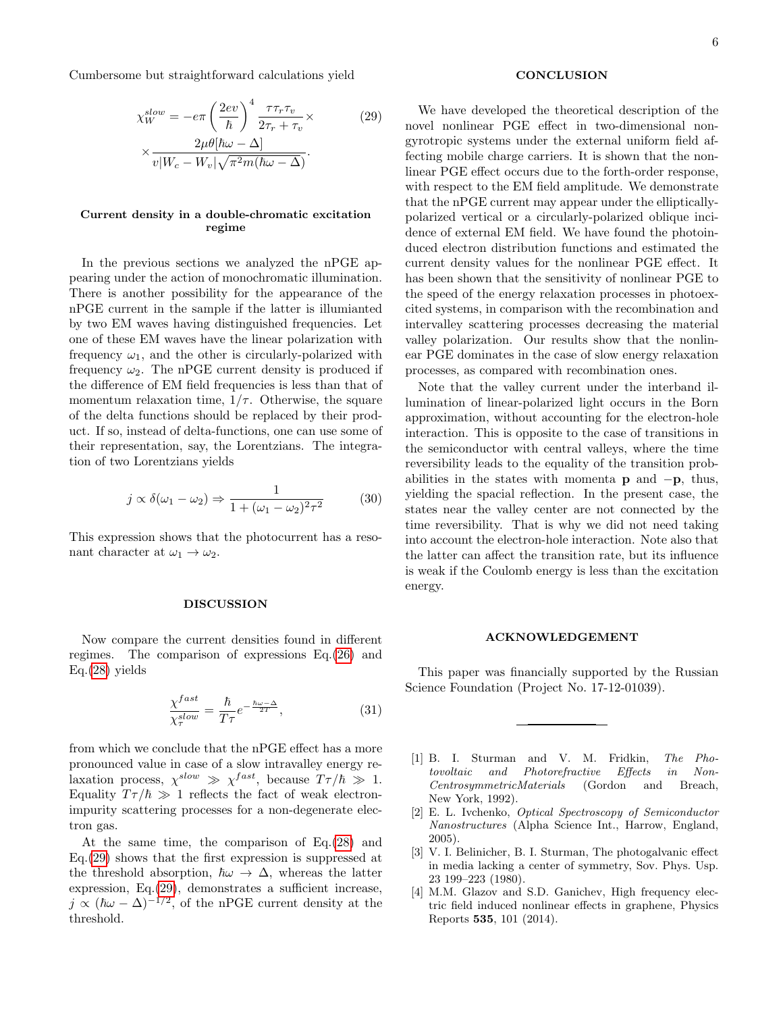Cumbersome but straightforward calculations yield

$$
\chi_W^{slow} = -e\pi \left(\frac{2ev}{\hbar}\right)^4 \frac{\tau \tau_r \tau_v}{2\tau_r + \tau_v} \times \qquad (29)
$$

$$
\times \frac{2\mu\theta[\hbar\omega - \Delta]}{v|W_c - W_v|\sqrt{\pi^2 m(\hbar\omega - \Delta)}}.
$$

### Current density in a double-chromatic excitation regime

In the previous sections we analyzed the nPGE appearing under the action of monochromatic illumination. There is another possibility for the appearance of the nPGE current in the sample if the latter is illumianted by two EM waves having distinguished frequencies. Let one of these EM waves have the linear polarization with frequency  $\omega_1$ , and the other is circularly-polarized with frequency  $\omega_2$ . The nPGE current density is produced if the difference of EM field frequencies is less than that of momentum relaxation time,  $1/\tau$ . Otherwise, the square of the delta functions should be replaced by their product. If so, instead of delta-functions, one can use some of their representation, say, the Lorentzians. The integration of two Lorentzians yields

$$
j \propto \delta(\omega_1 - \omega_2) \Rightarrow \frac{1}{1 + (\omega_1 - \omega_2)^2 \tau^2}
$$
 (30)

This expression shows that the photocurrent has a resonant character at  $\omega_1 \rightarrow \omega_2$ .

#### DISCUSSION

Now compare the current densities found in different regimes. The comparison of expressions Eq.[\(26\)](#page-4-2) and Eq.[\(28\)](#page-4-3) yields

$$
\frac{\chi^{fast}}{\chi^{slow}_{\tau}} = \frac{\hbar}{T\tau} e^{-\frac{\hbar\omega - \Delta}{2T}},\tag{31}
$$

from which we conclude that the nPGE effect has a more pronounced value in case of a slow intravalley energy relaxation process,  $\chi^{slow} \gg \chi^{fast}$ , because  $T\tau/\hbar \gg 1$ . Equality  $T\tau/\hbar \gg 1$  reflects the fact of weak electronimpurity scattering processes for a non-degenerate electron gas.

At the same time, the comparison of Eq.[\(28\)](#page-4-3) and Eq.[\(29\)](#page-5-3) shows that the first expression is suppressed at the threshold absorption,  $\hbar\omega \rightarrow \Delta$ , whereas the latter expression, Eq.[\(29\)](#page-5-3), demonstrates a sufficient increase,  $j \propto (\hbar \omega - \Delta)^{-1/2}$ , of the nPGE current density at the threshold.

# **CONCLUSION**

<span id="page-5-3"></span>We have developed the theoretical description of the novel nonlinear PGE effect in two-dimensional nongyrotropic systems under the external uniform field affecting mobile charge carriers. It is shown that the nonlinear PGE effect occurs due to the forth-order response, with respect to the EM field amplitude. We demonstrate that the nPGE current may appear under the ellipticallypolarized vertical or a circularly-polarized oblique incidence of external EM field. We have found the photoinduced electron distribution functions and estimated the current density values for the nonlinear PGE effect. It has been shown that the sensitivity of nonlinear PGE to the speed of the energy relaxation processes in photoexcited systems, in comparison with the recombination and intervalley scattering processes decreasing the material valley polarization. Our results show that the nonlinear PGE dominates in the case of slow energy relaxation processes, as compared with recombination ones.

Note that the valley current under the interband illumination of linear-polarized light occurs in the Born approximation, without accounting for the electron-hole interaction. This is opposite to the case of transitions in the semiconductor with central valleys, where the time reversibility leads to the equality of the transition probabilities in the states with momenta **p** and  $-p$ , thus, yielding the spacial reflection. In the present case, the states near the valley center are not connected by the time reversibility. That is why we did not need taking into account the electron-hole interaction. Note also that the latter can affect the transition rate, but its influence is weak if the Coulomb energy is less than the excitation energy.

#### ACKNOWLEDGEMENT

This paper was financially supported by the Russian Science Foundation (Project No. 17-12-01039).

- <span id="page-5-0"></span>[1] B. I. Sturman and V. M. Fridkin, The Photovoltaic and Photorefractive Effects in Non-CentrosymmetricMaterials (Gordon and Breach, New York, 1992).
- [2] E. L. Ivchenko, Optical Spectroscopy of Semiconductor Nanostructures (Alpha Science Int., Harrow, England, 2005).
- <span id="page-5-1"></span>[3] V. I. Belinicher, B. I. Sturman, The photogalvanic effect in media lacking a center of symmetry, Sov. Phys. Usp. 23 199–223 (1980).
- <span id="page-5-2"></span>[4] M.M. Glazov and S.D. Ganichev, High frequency electric field induced nonlinear effects in graphene, Physics Reports 535, 101 (2014).